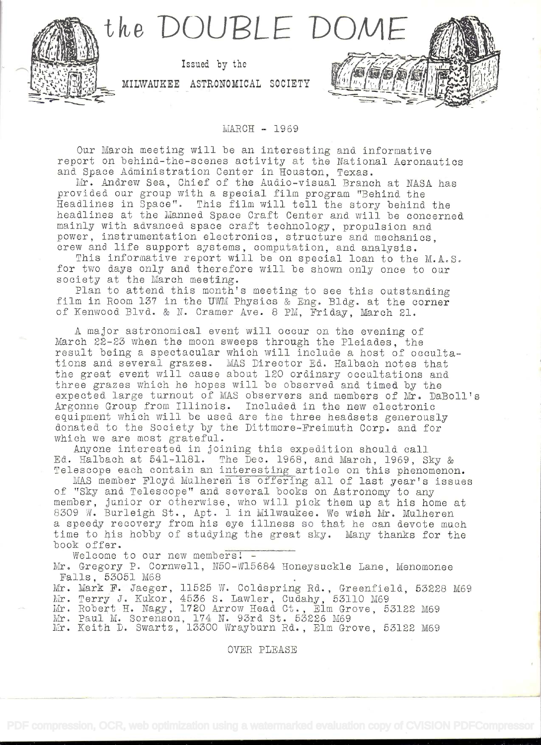

## MARCH - 1969

Our March meeting will be an interesting and informative report on behind-the-scenes activity at the National Aeronautics and Space Administration Center in Houston, Texas.<br>Mr. Andrew Sea, Chief of the Audio-visual Branch at NASA has

provided our group with a special film program "Behind the<br>Headlines in Space". This film will tell the story behind the<br>headlines at the Manned Space Craft Center and will be concerned<br>mainly with advanced space craft tec power, instrumentation electronics, structure and mechanics, crew and life support systems, computation, and analysis.

This informative report will be on special loan to the M.A.S.<br>for two days only and therefore will be shown only once to our<br>society at the March meeting.<br>Plan to attend this month's meeting to see this outstanding<br>film in

A major astronomical event will occur on the evening of March 22-23 when the moon sweeps through the Pleiades, the result being a spectacular which will include a host of occulta-<br>tions and several grazes. MAS Director Ed. Halbach notes that<br>the great event will cause about 120 ordinary occultations and<br>three grazes which he hopes will Argonne group from Illinois. Included in the new electronic equipment which will be used are the three headsets generously donated to the Society by the Dittmore-Freimath Corp. and for which we are most grateful.

Anyone interested in joining this expedition should call<br>Ed. Halbach at 541-1181. The Dec. 1968, and March, 1969, Sky &

Telescope each contain an interesting article on this phenomenon.<br>MAS member Floyd Mulheren is offering all of last year's issues MAS member Floyd Mulheren is offering all of last year's issues of "Sky and Telescope" and several books on Astronomy to any member, junior or otherwise, who will pick them up at his home at member, Junior of Scholwise, who will pick them up at his home at <sup>a</sup>speedy recovery from his eye illness so that he can devote much time to his hobby of studying the great sky. Many thanks for the book offer.<br>Welcome to our new members! -<br>Mr. Gregory P. Cornwell, N50-Wl5684 Honeysuckle Lane, Menomonee<br>Falls, 53051 M68

Mr. Mark F. Jaeger, 11525 W. Coldspring Rd., Greenfield, 53228 M69 Mr. Terry J. Kukor, 4536 S. Lawler, Cudahy, 53110 M69 Mr. Robert H. Nagy, 1720 Arrow Head Ct., Elm Grove, 53122 M69

Mr. Paul M. Sorenson, 174 N. 93rd St. 53226 M69

Mr. Taur M. Sorenson, 174 N. Soru So. Sozzo Mos

OVER PLEASE